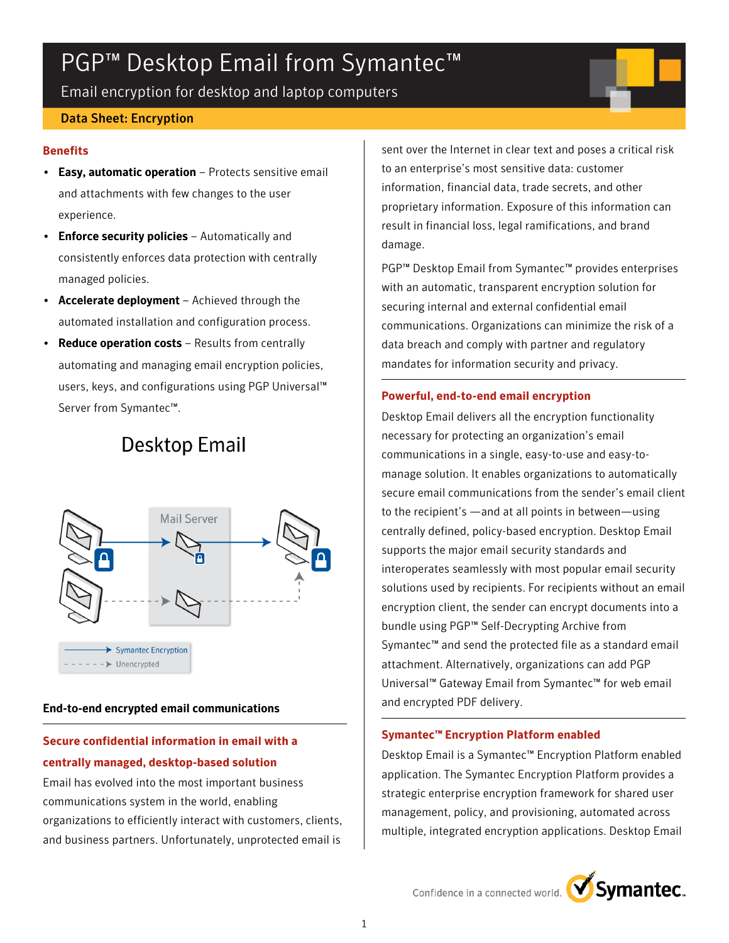# PGP<sup>™</sup> Desktop Email from Symantec<sup>™</sup>

Email encryption for desktop and laptop computers

#### Data Sheet: Encryption

#### **Benefits**

- Easy, automatic operation Protects sensitive email and attachments with few changes to the user experience.
- Enforce security policies Automatically and consistently enforces data protection with centrally managed policies.
- Accelerate deployment Achieved through the automated installation and configuration process.
- Reduce operation costs Results from centrally automating and managing email encryption policies, users, keys, and configurations using PGP Universal™ Server from Symantec™.

# **Desktop Email**



#### End-to-end encrypted email communications

# **Secure confidential information in email with a centrally managed, desktop-based solution**

Email has evolved into the most important business communications system in the world, enabling organizations to efficiently interact with customers, clients, and business partners. Unfortunately, unprotected email is

sent over the Internet in clear text and poses a critical risk to an enterprise's most sensitive data: customer information, financial data, trade secrets, and other proprietary information. Exposure of this information can result in financial loss, legal ramifications, and brand damage.

PGP™ Desktop Email from Symantec™ provides enterprises with an automatic, transparent encryption solution for securing internal and external confidential email communications. Organizations can minimize the risk of a data breach and comply with partner and regulatory mandates for information security and privacy.

#### **Powerful, end-to-end email encryption**

Desktop Email delivers all the encryption functionality necessary for protecting an organization's email communications in a single, easy-to-use and easy-tomanage solution. It enables organizations to automatically secure email communications from the sender's email client to the recipient's —and at all points in between—using centrally defined, policy-based encryption. Desktop Email supports the major email security standards and interoperates seamlessly with most popular email security solutions used by recipients. For recipients without an email encryption client, the sender can encrypt documents into a bundle using PGP™ Self-Decrypting Archive from Symantec™ and send the protected file as a standard email attachment. Alternatively, organizations can add PGP Universal™ Gateway Email from Symantec™ for web email and encrypted PDF delivery.

#### **Symantec™ Encryption Platform enabled**

Desktop Email is a Symantec™ Encryption Platform enabled application. The Symantec Encryption Platform provides a strategic enterprise encryption framework for shared user management, policy, and provisioning, automated across multiple, integrated encryption applications. Desktop Email

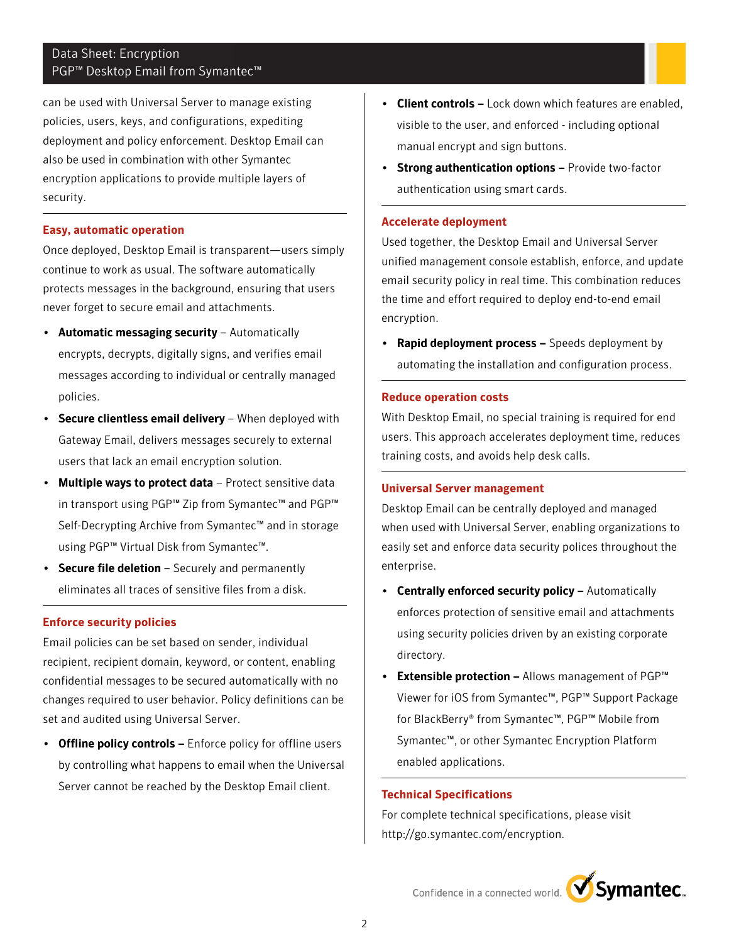## Data Sheet: Encryption PGP<sup>™</sup> Desktop Email from Symantec<sup>™</sup>

can be used with Universal Server to manage existing policies, users, keys, and configurations, expediting deployment and policy enforcement. Desktop Email can also be used in combination with other Symantec encryption applications to provide multiple layers of security.

#### **Easy, automatic operation**

Once deployed, Desktop Email is transparent—users simply continue to work as usual. The software automatically protects messages in the background, ensuring that users never forget to secure email and attachments.

- Automatic messaging security Automatically encrypts, decrypts, digitally signs, and verifies email messages according to individual or centrally managed policies.
- Secure clientless email delivery When deployed with Gateway Email, delivers messages securely to external users that lack an email encryption solution.
- Multiple ways to protect data Protect sensitive data in transport using PGP™ Zip from Symantec™ and PGP™ Self-Decrypting Archive from Symantec™ and in storage using PGP™ Virtual Disk from Symantec™.
- **Secure file deletion**  $-$  Securely and permanently eliminates all traces of sensitive files from a disk.

#### **Enforce security policies**

Email policies can be set based on sender, individual recipient, recipient domain, keyword, or content, enabling confidential messages to be secured automatically with no changes required to user behavior. Policy definitions can be set and audited using Universal Server.

• Offline policy controls – Enforce policy for offline users by controlling what happens to email when the Universal Server cannot be reached by the Desktop Email client.

- Client controls Lock down which features are enabled, visible to the user, and enforced - including optional manual encrypt and sign buttons.
- Strong authentication options Provide two-factor authentication using smart cards.

#### **Accelerate deployment**

Used together, the Desktop Email and Universal Server unified management console establish, enforce, and update email security policy in real time. This combination reduces the time and effort required to deploy end-to-end email encryption.

• Rapid deployment process - Speeds deployment by automating the installation and configuration process.

#### **Reduce operation costs**

With Desktop Email, no special training is required for end users. This approach accelerates deployment time, reduces training costs, and avoids help desk calls.

#### **Universal Server management**

Desktop Email can be centrally deployed and managed when used with Universal Server, enabling organizations to easily set and enforce data security polices throughout the enterprise.

- Centrally enforced security policy Automatically enforces protection of sensitive email and attachments using security policies driven by an existing corporate directory.
- **Extensible protection Allows management of PGP™** Viewer for iOS from Symantec™, PGP™ Support Package for BlackBerry® from Symantec™, PGP™ Mobile from Symantec™, or other Symantec Encryption Platform enabled applications.

#### **Technical Specifications**

For complete technical specifications, please visit http://go.symantec.com/encryption.